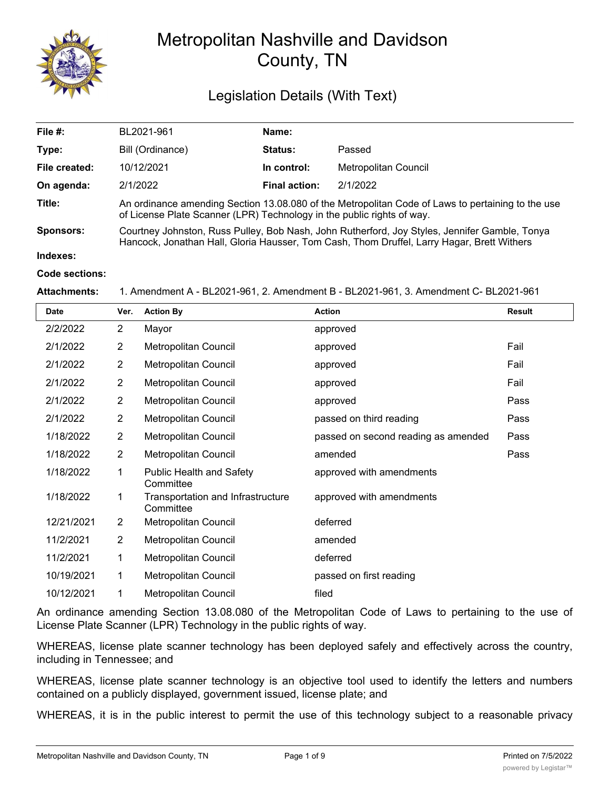

# Metropolitan Nashville and Davidson County, TN

## Legislation Details (With Text)

| File $#$ :       | BL2021-961                                                                                                                                                                                  | Name:                |                      |  |  |
|------------------|---------------------------------------------------------------------------------------------------------------------------------------------------------------------------------------------|----------------------|----------------------|--|--|
| Type:            | Bill (Ordinance)                                                                                                                                                                            | <b>Status:</b>       | Passed               |  |  |
| File created:    | 10/12/2021                                                                                                                                                                                  | In control:          | Metropolitan Council |  |  |
| On agenda:       | 2/1/2022                                                                                                                                                                                    | <b>Final action:</b> | 2/1/2022             |  |  |
| Title:           | An ordinance amending Section 13.08.080 of the Metropolitan Code of Laws to pertaining to the use<br>of License Plate Scanner (LPR) Technology in the public rights of way.                 |                      |                      |  |  |
| <b>Sponsors:</b> | Courtney Johnston, Russ Pulley, Bob Nash, John Rutherford, Joy Styles, Jennifer Gamble, Tonya<br>Hancock, Jonathan Hall, Gloria Hausser, Tom Cash, Thom Druffel, Larry Hagar, Brett Withers |                      |                      |  |  |
| Indexes:         |                                                                                                                                                                                             |                      |                      |  |  |
| Code sections:   |                                                                                                                                                                                             |                      |                      |  |  |

#### **Attachments:** 1. Amendment A - BL2021-961, 2. Amendment B - BL2021-961, 3. Amendment C- BL2021-961

| <b>Date</b> | Ver.           | <b>Action By</b>                               | <b>Action</b>                       | <b>Result</b> |
|-------------|----------------|------------------------------------------------|-------------------------------------|---------------|
| 2/2/2022    | $\overline{2}$ | Mayor                                          | approved                            |               |
| 2/1/2022    | $\overline{2}$ | <b>Metropolitan Council</b>                    | approved                            | Fail          |
| 2/1/2022    | $\overline{2}$ | <b>Metropolitan Council</b>                    | approved                            | Fail          |
| 2/1/2022    | $\overline{2}$ | Metropolitan Council                           | approved                            | Fail          |
| 2/1/2022    | $\overline{2}$ | Metropolitan Council                           | approved                            | Pass          |
| 2/1/2022    | $\overline{2}$ | Metropolitan Council                           | passed on third reading             | Pass          |
| 1/18/2022   | $\overline{2}$ | <b>Metropolitan Council</b>                    | passed on second reading as amended | Pass          |
| 1/18/2022   | 2              | Metropolitan Council                           | amended                             | Pass          |
| 1/18/2022   | 1              | <b>Public Health and Safety</b><br>Committee   | approved with amendments            |               |
| 1/18/2022   | 1              | Transportation and Infrastructure<br>Committee | approved with amendments            |               |
| 12/21/2021  | 2              | Metropolitan Council                           | deferred                            |               |
| 11/2/2021   | $\overline{2}$ | <b>Metropolitan Council</b>                    | amended                             |               |
| 11/2/2021   | 1              | Metropolitan Council                           | deferred                            |               |
| 10/19/2021  | 1              | Metropolitan Council                           | passed on first reading             |               |
| 10/12/2021  | 1              | Metropolitan Council                           | filed                               |               |

An ordinance amending Section 13.08.080 of the Metropolitan Code of Laws to pertaining to the use of License Plate Scanner (LPR) Technology in the public rights of way.

WHEREAS, license plate scanner technology has been deployed safely and effectively across the country, including in Tennessee; and

WHEREAS, license plate scanner technology is an objective tool used to identify the letters and numbers contained on a publicly displayed, government issued, license plate; and

WHEREAS, it is in the public interest to permit the use of this technology subject to a reasonable privacy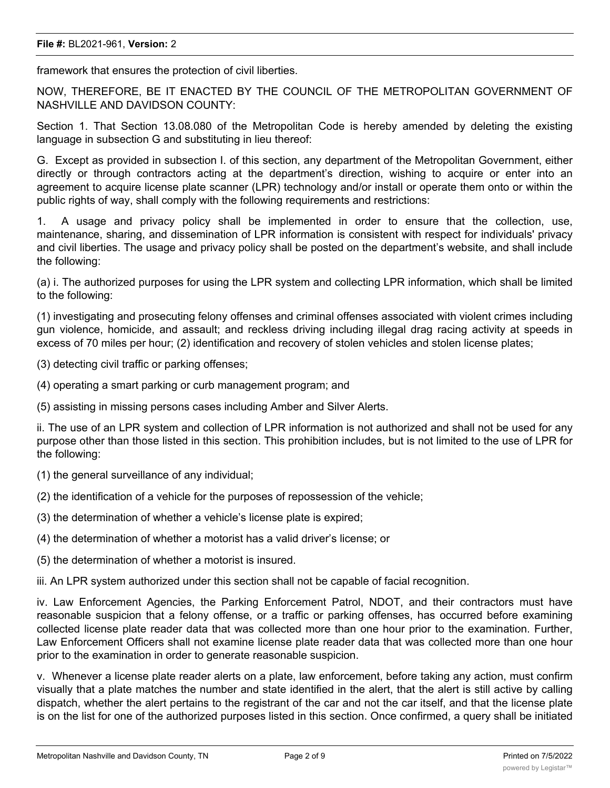#### **File #:** BL2021-961, **Version:** 2

framework that ensures the protection of civil liberties.

NOW, THEREFORE, BE IT ENACTED BY THE COUNCIL OF THE METROPOLITAN GOVERNMENT OF NASHVILLE AND DAVIDSON COUNTY:

Section 1. That Section 13.08.080 of the Metropolitan Code is hereby amended by deleting the existing language in subsection G and substituting in lieu thereof:

G. Except as provided in subsection I. of this section, any department of the Metropolitan Government, either directly or through contractors acting at the department's direction, wishing to acquire or enter into an agreement to acquire license plate scanner (LPR) technology and/or install or operate them onto or within the public rights of way, shall comply with the following requirements and restrictions:

1. A usage and privacy policy shall be implemented in order to ensure that the collection, use, maintenance, sharing, and dissemination of LPR information is consistent with respect for individuals' privacy and civil liberties. The usage and privacy policy shall be posted on the department's website, and shall include the following:

(a) i. The authorized purposes for using the LPR system and collecting LPR information, which shall be limited to the following:

(1) investigating and prosecuting felony offenses and criminal offenses associated with violent crimes including gun violence, homicide, and assault; and reckless driving including illegal drag racing activity at speeds in excess of 70 miles per hour; (2) identification and recovery of stolen vehicles and stolen license plates;

(3) detecting civil traffic or parking offenses;

(4) operating a smart parking or curb management program; and

(5) assisting in missing persons cases including Amber and Silver Alerts.

ii. The use of an LPR system and collection of LPR information is not authorized and shall not be used for any purpose other than those listed in this section. This prohibition includes, but is not limited to the use of LPR for the following:

(1) the general surveillance of any individual;

(2) the identification of a vehicle for the purposes of repossession of the vehicle;

(3) the determination of whether a vehicle's license plate is expired;

(4) the determination of whether a motorist has a valid driver's license; or

(5) the determination of whether a motorist is insured.

iii. An LPR system authorized under this section shall not be capable of facial recognition.

iv. Law Enforcement Agencies, the Parking Enforcement Patrol, NDOT, and their contractors must have reasonable suspicion that a felony offense, or a traffic or parking offenses, has occurred before examining collected license plate reader data that was collected more than one hour prior to the examination. Further, Law Enforcement Officers shall not examine license plate reader data that was collected more than one hour prior to the examination in order to generate reasonable suspicion.

v. Whenever a license plate reader alerts on a plate, law enforcement, before taking any action, must confirm visually that a plate matches the number and state identified in the alert, that the alert is still active by calling dispatch, whether the alert pertains to the registrant of the car and not the car itself, and that the license plate is on the list for one of the authorized purposes listed in this section. Once confirmed, a query shall be initiated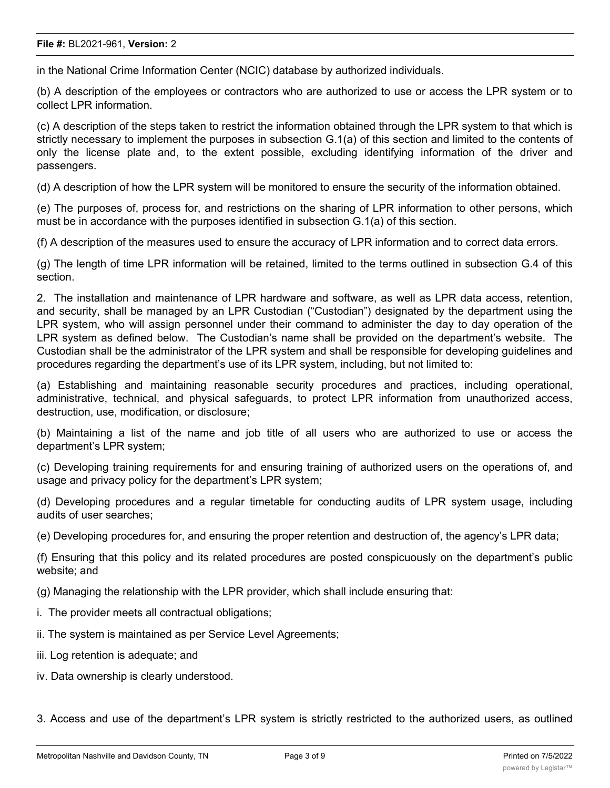in the National Crime Information Center (NCIC) database by authorized individuals.

(b) A description of the employees or contractors who are authorized to use or access the LPR system or to collect LPR information.

(c) A description of the steps taken to restrict the information obtained through the LPR system to that which is strictly necessary to implement the purposes in subsection G.1(a) of this section and limited to the contents of only the license plate and, to the extent possible, excluding identifying information of the driver and passengers.

(d) A description of how the LPR system will be monitored to ensure the security of the information obtained.

(e) The purposes of, process for, and restrictions on the sharing of LPR information to other persons, which must be in accordance with the purposes identified in subsection G.1(a) of this section.

(f) A description of the measures used to ensure the accuracy of LPR information and to correct data errors.

(g) The length of time LPR information will be retained, limited to the terms outlined in subsection G.4 of this section.

2. The installation and maintenance of LPR hardware and software, as well as LPR data access, retention, and security, shall be managed by an LPR Custodian ("Custodian") designated by the department using the LPR system, who will assign personnel under their command to administer the day to day operation of the LPR system as defined below. The Custodian's name shall be provided on the department's website. The Custodian shall be the administrator of the LPR system and shall be responsible for developing guidelines and procedures regarding the department's use of its LPR system, including, but not limited to:

(a) Establishing and maintaining reasonable security procedures and practices, including operational, administrative, technical, and physical safeguards, to protect LPR information from unauthorized access, destruction, use, modification, or disclosure;

(b) Maintaining a list of the name and job title of all users who are authorized to use or access the department's LPR system;

(c) Developing training requirements for and ensuring training of authorized users on the operations of, and usage and privacy policy for the department's LPR system;

(d) Developing procedures and a regular timetable for conducting audits of LPR system usage, including audits of user searches;

(e) Developing procedures for, and ensuring the proper retention and destruction of, the agency's LPR data;

(f) Ensuring that this policy and its related procedures are posted conspicuously on the department's public website; and

(g) Managing the relationship with the LPR provider, which shall include ensuring that:

- i. The provider meets all contractual obligations;
- ii. The system is maintained as per Service Level Agreements;
- iii. Log retention is adequate; and
- iv. Data ownership is clearly understood.
- 3. Access and use of the department's LPR system is strictly restricted to the authorized users, as outlined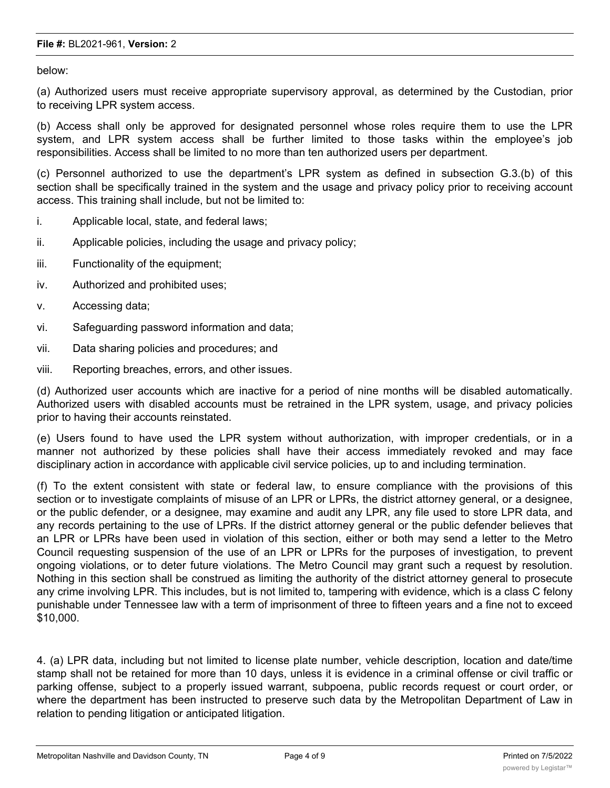below:

(a) Authorized users must receive appropriate supervisory approval, as determined by the Custodian, prior to receiving LPR system access.

(b) Access shall only be approved for designated personnel whose roles require them to use the LPR system, and LPR system access shall be further limited to those tasks within the employee's job responsibilities. Access shall be limited to no more than ten authorized users per department.

(c) Personnel authorized to use the department's LPR system as defined in subsection G.3.(b) of this section shall be specifically trained in the system and the usage and privacy policy prior to receiving account access. This training shall include, but not be limited to:

- i. Applicable local, state, and federal laws;
- ii. Applicable policies, including the usage and privacy policy;
- iii. Functionality of the equipment;
- iv. Authorized and prohibited uses;
- v. Accessing data;
- vi. Safeguarding password information and data;
- vii. Data sharing policies and procedures; and
- viii. Reporting breaches, errors, and other issues.

(d) Authorized user accounts which are inactive for a period of nine months will be disabled automatically. Authorized users with disabled accounts must be retrained in the LPR system, usage, and privacy policies prior to having their accounts reinstated.

(e) Users found to have used the LPR system without authorization, with improper credentials, or in a manner not authorized by these policies shall have their access immediately revoked and may face disciplinary action in accordance with applicable civil service policies, up to and including termination.

(f) To the extent consistent with state or federal law, to ensure compliance with the provisions of this section or to investigate complaints of misuse of an LPR or LPRs, the district attorney general, or a designee, or the public defender, or a designee, may examine and audit any LPR, any file used to store LPR data, and any records pertaining to the use of LPRs. If the district attorney general or the public defender believes that an LPR or LPRs have been used in violation of this section, either or both may send a letter to the Metro Council requesting suspension of the use of an LPR or LPRs for the purposes of investigation, to prevent ongoing violations, or to deter future violations. The Metro Council may grant such a request by resolution. Nothing in this section shall be construed as limiting the authority of the district attorney general to prosecute any crime involving LPR. This includes, but is not limited to, tampering with evidence, which is a class C felony punishable under Tennessee law with a term of imprisonment of three to fifteen years and a fine not to exceed \$10,000.

4. (a) LPR data, including but not limited to license plate number, vehicle description, location and date/time stamp shall not be retained for more than 10 days, unless it is evidence in a criminal offense or civil traffic or parking offense, subject to a properly issued warrant, subpoena, public records request or court order, or where the department has been instructed to preserve such data by the Metropolitan Department of Law in relation to pending litigation or anticipated litigation.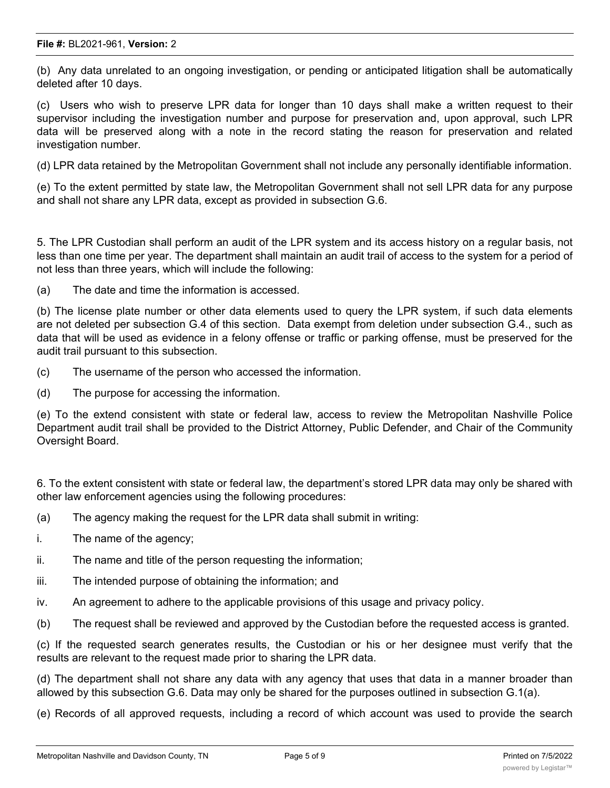(b) Any data unrelated to an ongoing investigation, or pending or anticipated litigation shall be automatically deleted after 10 days.

(c) Users who wish to preserve LPR data for longer than 10 days shall make a written request to their supervisor including the investigation number and purpose for preservation and, upon approval, such LPR data will be preserved along with a note in the record stating the reason for preservation and related investigation number.

(d) LPR data retained by the Metropolitan Government shall not include any personally identifiable information.

(e) To the extent permitted by state law, the Metropolitan Government shall not sell LPR data for any purpose and shall not share any LPR data, except as provided in subsection G.6.

5. The LPR Custodian shall perform an audit of the LPR system and its access history on a regular basis, not less than one time per year. The department shall maintain an audit trail of access to the system for a period of not less than three years, which will include the following:

(a) The date and time the information is accessed.

(b) The license plate number or other data elements used to query the LPR system, if such data elements are not deleted per subsection G.4 of this section. Data exempt from deletion under subsection G.4., such as data that will be used as evidence in a felony offense or traffic or parking offense, must be preserved for the audit trail pursuant to this subsection.

- (c) The username of the person who accessed the information.
- (d) The purpose for accessing the information.

(e) To the extend consistent with state or federal law, access to review the Metropolitan Nashville Police Department audit trail shall be provided to the District Attorney, Public Defender, and Chair of the Community Oversight Board.

6. To the extent consistent with state or federal law, the department's stored LPR data may only be shared with other law enforcement agencies using the following procedures:

- (a) The agency making the request for the LPR data shall submit in writing:
- i. The name of the agency;
- ii. The name and title of the person requesting the information;
- iii. The intended purpose of obtaining the information; and
- iv. An agreement to adhere to the applicable provisions of this usage and privacy policy.
- (b) The request shall be reviewed and approved by the Custodian before the requested access is granted.

(c) If the requested search generates results, the Custodian or his or her designee must verify that the results are relevant to the request made prior to sharing the LPR data.

(d) The department shall not share any data with any agency that uses that data in a manner broader than allowed by this subsection G.6. Data may only be shared for the purposes outlined in subsection G.1(a).

(e) Records of all approved requests, including a record of which account was used to provide the search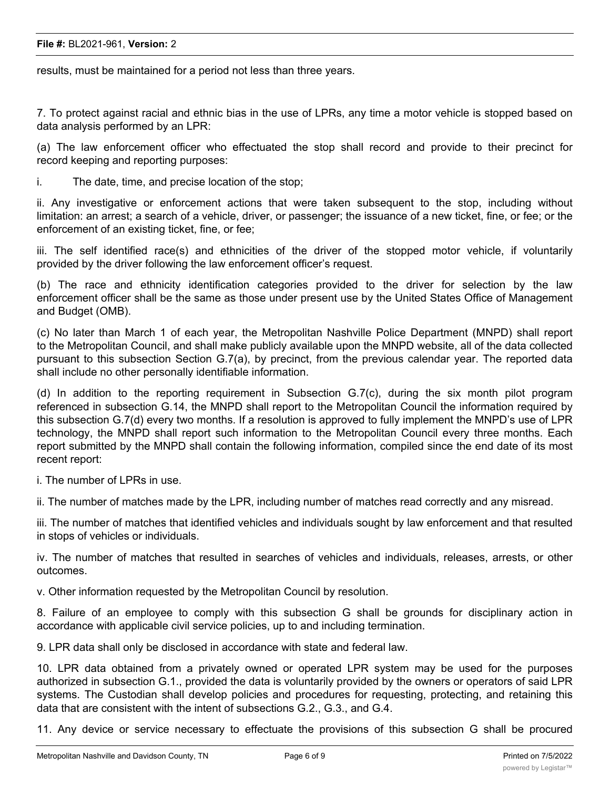#### **File #:** BL2021-961, **Version:** 2

results, must be maintained for a period not less than three years.

7. To protect against racial and ethnic bias in the use of LPRs, any time a motor vehicle is stopped based on data analysis performed by an LPR:

(a) The law enforcement officer who effectuated the stop shall record and provide to their precinct for record keeping and reporting purposes:

i. The date, time, and precise location of the stop;

ii. Any investigative or enforcement actions that were taken subsequent to the stop, including without limitation: an arrest; a search of a vehicle, driver, or passenger; the issuance of a new ticket, fine, or fee; or the enforcement of an existing ticket, fine, or fee;

iii. The self identified race(s) and ethnicities of the driver of the stopped motor vehicle, if voluntarily provided by the driver following the law enforcement officer's request.

(b) The race and ethnicity identification categories provided to the driver for selection by the law enforcement officer shall be the same as those under present use by the United States Office of Management and Budget (OMB).

(c) No later than March 1 of each year, the Metropolitan Nashville Police Department (MNPD) shall report to the Metropolitan Council, and shall make publicly available upon the MNPD website, all of the data collected pursuant to this subsection Section G.7(a), by precinct, from the previous calendar year. The reported data shall include no other personally identifiable information.

(d) In addition to the reporting requirement in Subsection G.7(c), during the six month pilot program referenced in subsection G.14, the MNPD shall report to the Metropolitan Council the information required by this subsection G.7(d) every two months. If a resolution is approved to fully implement the MNPD's use of LPR technology, the MNPD shall report such information to the Metropolitan Council every three months. Each report submitted by the MNPD shall contain the following information, compiled since the end date of its most recent report:

i. The number of LPRs in use.

ii. The number of matches made by the LPR, including number of matches read correctly and any misread.

iii. The number of matches that identified vehicles and individuals sought by law enforcement and that resulted in stops of vehicles or individuals.

iv. The number of matches that resulted in searches of vehicles and individuals, releases, arrests, or other outcomes.

v. Other information requested by the Metropolitan Council by resolution.

8. Failure of an employee to comply with this subsection G shall be grounds for disciplinary action in accordance with applicable civil service policies, up to and including termination.

9. LPR data shall only be disclosed in accordance with state and federal law.

10. LPR data obtained from a privately owned or operated LPR system may be used for the purposes authorized in subsection G.1., provided the data is voluntarily provided by the owners or operators of said LPR systems. The Custodian shall develop policies and procedures for requesting, protecting, and retaining this data that are consistent with the intent of subsections G.2., G.3., and G.4.

11. Any device or service necessary to effectuate the provisions of this subsection G shall be procured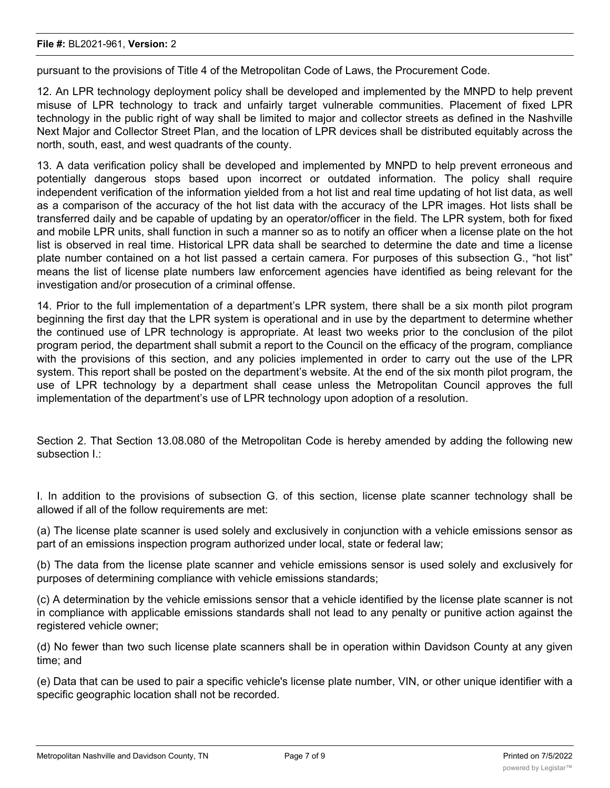pursuant to the provisions of Title 4 of the Metropolitan Code of Laws, the Procurement Code.

12. An LPR technology deployment policy shall be developed and implemented by the MNPD to help prevent misuse of LPR technology to track and unfairly target vulnerable communities. Placement of fixed LPR technology in the public right of way shall be limited to major and collector streets as defined in the Nashville Next Major and Collector Street Plan, and the location of LPR devices shall be distributed equitably across the north, south, east, and west quadrants of the county.

13. A data verification policy shall be developed and implemented by MNPD to help prevent erroneous and potentially dangerous stops based upon incorrect or outdated information. The policy shall require independent verification of the information yielded from a hot list and real time updating of hot list data, as well as a comparison of the accuracy of the hot list data with the accuracy of the LPR images. Hot lists shall be transferred daily and be capable of updating by an operator/officer in the field. The LPR system, both for fixed and mobile LPR units, shall function in such a manner so as to notify an officer when a license plate on the hot list is observed in real time. Historical LPR data shall be searched to determine the date and time a license plate number contained on a hot list passed a certain camera. For purposes of this subsection G., "hot list" means the list of license plate numbers law enforcement agencies have identified as being relevant for the investigation and/or prosecution of a criminal offense.

14. Prior to the full implementation of a department's LPR system, there shall be a six month pilot program beginning the first day that the LPR system is operational and in use by the department to determine whether the continued use of LPR technology is appropriate. At least two weeks prior to the conclusion of the pilot program period, the department shall submit a report to the Council on the efficacy of the program, compliance with the provisions of this section, and any policies implemented in order to carry out the use of the LPR system. This report shall be posted on the department's website. At the end of the six month pilot program, the use of LPR technology by a department shall cease unless the Metropolitan Council approves the full implementation of the department's use of LPR technology upon adoption of a resolution.

Section 2. That Section 13.08.080 of the Metropolitan Code is hereby amended by adding the following new subsection I.:

I. In addition to the provisions of subsection G. of this section, license plate scanner technology shall be allowed if all of the follow requirements are met:

(a) The license plate scanner is used solely and exclusively in conjunction with a vehicle emissions sensor as part of an emissions inspection program authorized under local, state or federal law;

(b) The data from the license plate scanner and vehicle emissions sensor is used solely and exclusively for purposes of determining compliance with vehicle emissions standards;

(c) A determination by the vehicle emissions sensor that a vehicle identified by the license plate scanner is not in compliance with applicable emissions standards shall not lead to any penalty or punitive action against the registered vehicle owner;

(d) No fewer than two such license plate scanners shall be in operation within Davidson County at any given time; and

(e) Data that can be used to pair a specific vehicle's license plate number, VIN, or other unique identifier with a specific geographic location shall not be recorded.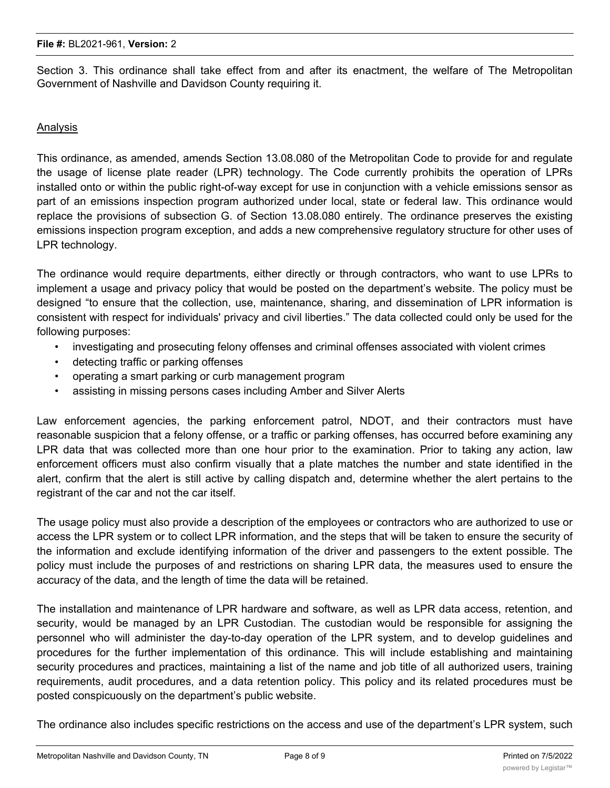Section 3. This ordinance shall take effect from and after its enactment, the welfare of The Metropolitan Government of Nashville and Davidson County requiring it.

### Analysis

This ordinance, as amended, amends Section 13.08.080 of the Metropolitan Code to provide for and regulate the usage of license plate reader (LPR) technology. The Code currently prohibits the operation of LPRs installed onto or within the public right-of-way except for use in conjunction with a vehicle emissions sensor as part of an emissions inspection program authorized under local, state or federal law. This ordinance would replace the provisions of subsection G. of Section 13.08.080 entirely. The ordinance preserves the existing emissions inspection program exception, and adds a new comprehensive regulatory structure for other uses of LPR technology.

The ordinance would require departments, either directly or through contractors, who want to use LPRs to implement a usage and privacy policy that would be posted on the department's website. The policy must be designed "to ensure that the collection, use, maintenance, sharing, and dissemination of LPR information is consistent with respect for individuals' privacy and civil liberties." The data collected could only be used for the following purposes:

- investigating and prosecuting felony offenses and criminal offenses associated with violent crimes
- detecting traffic or parking offenses
- operating a smart parking or curb management program
- assisting in missing persons cases including Amber and Silver Alerts

Law enforcement agencies, the parking enforcement patrol, NDOT, and their contractors must have reasonable suspicion that a felony offense, or a traffic or parking offenses, has occurred before examining any LPR data that was collected more than one hour prior to the examination. Prior to taking any action, law enforcement officers must also confirm visually that a plate matches the number and state identified in the alert, confirm that the alert is still active by calling dispatch and, determine whether the alert pertains to the registrant of the car and not the car itself.

The usage policy must also provide a description of the employees or contractors who are authorized to use or access the LPR system or to collect LPR information, and the steps that will be taken to ensure the security of the information and exclude identifying information of the driver and passengers to the extent possible. The policy must include the purposes of and restrictions on sharing LPR data, the measures used to ensure the accuracy of the data, and the length of time the data will be retained.

The installation and maintenance of LPR hardware and software, as well as LPR data access, retention, and security, would be managed by an LPR Custodian. The custodian would be responsible for assigning the personnel who will administer the day-to-day operation of the LPR system, and to develop guidelines and procedures for the further implementation of this ordinance. This will include establishing and maintaining security procedures and practices, maintaining a list of the name and job title of all authorized users, training requirements, audit procedures, and a data retention policy. This policy and its related procedures must be posted conspicuously on the department's public website.

The ordinance also includes specific restrictions on the access and use of the department's LPR system, such